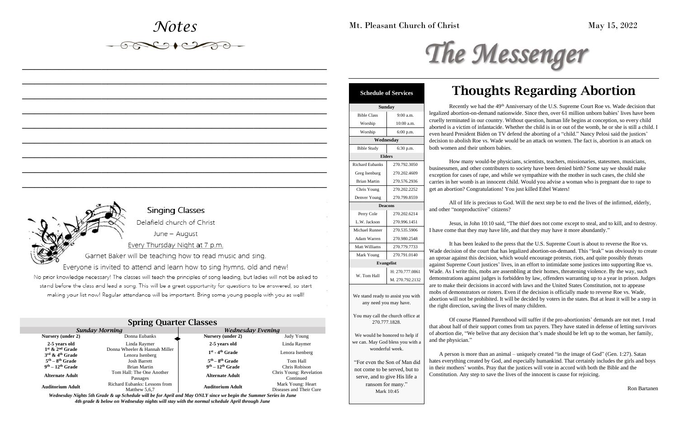### *Notes*

 $\begin{picture}(180,10) \put(0,0){\line(1,0){10}} \put(10,0){\line(1,0){10}} \put(10,0){\line(1,0){10}} \put(10,0){\line(1,0){10}} \put(10,0){\line(1,0){10}} \put(10,0){\line(1,0){10}} \put(10,0){\line(1,0){10}} \put(10,0){\line(1,0){10}} \put(10,0){\line(1,0){10}} \put(10,0){\line(1,0){10}} \put(10,0){\line(1,0){10}} \put(10,0){\line($ 

*\_\_\_\_\_\_\_\_\_\_\_\_\_\_\_\_\_\_\_\_\_\_\_\_\_\_\_\_\_\_\_\_\_\_\_\_\_\_\_\_\_\_\_\_\_\_\_\_\_\_*

*\_\_\_\_\_\_\_\_\_\_\_\_\_\_\_\_\_\_\_\_\_\_\_\_\_\_\_\_\_\_\_\_\_\_\_\_\_\_\_\_\_\_\_\_\_\_\_\_\_\_*

*\_\_\_\_\_\_\_\_\_\_\_\_\_\_\_\_\_\_\_\_\_\_\_\_\_\_\_\_\_\_\_\_\_\_\_\_\_\_\_\_\_\_\_\_\_\_\_\_\_\_*

*\_\_\_\_\_\_\_\_\_\_\_\_\_\_\_\_\_\_\_\_\_\_\_\_\_\_\_\_\_\_\_\_\_\_\_\_\_\_\_\_\_\_\_\_\_\_\_\_\_\_*

*\_\_\_\_\_\_\_\_\_\_\_\_\_\_\_\_\_\_\_\_\_\_\_\_\_\_\_\_\_\_\_\_\_\_\_\_\_\_\_\_\_\_\_\_\_\_\_\_\_\_*

*\_\_\_\_\_\_\_\_\_\_\_\_\_\_\_\_\_\_\_\_\_\_\_\_\_\_\_\_\_\_\_\_\_\_\_\_\_\_\_\_\_\_\_\_\_\_\_\_\_\_*

*\_\_\_\_\_\_\_\_\_\_\_\_\_\_\_\_\_\_\_\_\_\_\_\_\_\_\_\_\_\_\_\_\_\_\_\_\_\_\_\_\_\_\_\_\_\_\_\_\_\_*

*\_\_\_\_\_\_\_\_\_\_\_\_\_\_\_\_\_\_\_\_\_\_\_\_\_\_\_\_\_\_\_\_\_\_\_\_\_\_\_\_\_\_\_\_\_\_\_\_\_\_*

*\_\_\_\_\_\_\_\_\_\_\_\_\_\_\_\_\_\_\_\_\_\_\_\_\_\_\_\_\_\_\_\_\_\_\_\_\_\_\_\_\_\_\_\_\_\_\_\_\_\_*

Mt. Pleasant Church of Christ May 15, 2022

# The Messenger

| Singing Classes                                          |
|----------------------------------------------------------|
| Delafield church of Christ                               |
| June – August                                            |
| Every Thursday Night at 7 p.m.                           |
| Carnet Raker will be teaching how to read music and sing |

## **Singing Classes**<br>Delafield church of Christ

Garnet Baker will be teaching how to read music and sing.<br>Everyone is invited to attend and learn how to sing hymns, old and new!

No prior knowledge necessary! The classes will teach the principles of song leading, but ladies will not be asked to stand before the class and lead a song. This will be a great opportunity for questions to be answered, so start making your list now! Regular attendance will be important. Bring some young people with you as well!

How many would-be physicians, scientists, teachers, missionaries, statesmen, musicians, essmen, and other contributers to society have been denied birth? Some say we should make tion for cases of rape, and while we sympathize with the mother in such cases, the child she in her womb is an innocent child. Would you advise a woman who is pregnant due to rape to abortion? Congratulations! You just killed Ethel Waters!

## Thoughts Regarding Abortion

Recently we had the 49<sup>th</sup> Anniversary of the U.S. Supreme Court Roe vs. Wade decision that zed abortion-on-demand nationwide. Since then, over 61 million unborn babies' lives have been y terminated in our country. Without question, human life begins at conception, so every child ed is a victim of infantacide. Whether the child is in or out of the womb, he or she is still a child. I heard President Biden on TV defend the aborting of a "child." Nancy Pelosi said the justices' on to abolish Roe vs. Wade would be an attack on women. The fact is, abortion is an attack on women and their unborn babies.

All of life is precious to God. Will the next step be to end the lives of the infirmed, elderly, ther "nonproductiive" citizens?

Jesus, in John 10:10 said, "The thief does not come except to steal, and to kill, and to destroy. come that they may have life, and that they may have it more abundantly."

It has been leaked to the press that the U.S. Supreme Court is about to reverse the Roe vs. decision of the court that has legalized abortion-on-demand. This "leak" was obviously to create roar against this decision, which would encourage protests, riots, and quite possibly threats against Supreme Court justices' lives, in an effort to intimidate some justices into supporting Roe vs. As I write this, mobs are assembling at their homes, threatening violence. By the way, such nstrations against judges is forbidden by law, offenders warranting up to a year in prison. Judges make their decisions in accord with laws and the United States Constitution, not to appease of demonstrators or rioters. Even if the decision is officially made to reverse Roe vs. Wade, on will not be prohibited. It will be decided by voters in the states. But at least it will be a step in the direction, saving the lives of many children.

Of course Planned Parenthood will suffer if the pro-abortionists' demands are not met. I read bout half of their support comes from tax payers. They have stated in defense of letting survivors ortion die, "We belive that any decision that's made should be left up to the woman, her family, e physician."

A person is more than an animal – uniquely created "in the image of God" (Gen. 1:27). Satan everything created by God, and especially humankind. That certainly includes the girls and boys in their mothers' wombs. Pray that the justices will vote in accord with both the Bible and the Constitution. Any step to save the lives of the innocent is cause for rejoicing.

#### Spring Quarter Classes

| $\cdots$                                                       |                                                  |                          |                                              |
|----------------------------------------------------------------|--------------------------------------------------|--------------------------|----------------------------------------------|
| <b>Sunday Morning</b>                                          |                                                  | <b>Wednesday Evening</b> |                                              |
| Nursery (under 2)                                              | Donna Eubanks                                    | Nursery (under 2)        | Judy Young                                   |
| 2-5 years old                                                  | Linda Raymer                                     | 2-5 years old            | Linda Raymer                                 |
| $1st$ & $2nd$ Grade<br>$3^{\text{rd}}$ & $4^{\text{th}}$ Grade | Donna Wheeler & Hannah Miller<br>Lenora Isenberg | $1st$ - $4th$ Grade      | Lenora Isenberg                              |
| $5th - 8th$ Grade                                              | <b>Josh Barrett</b>                              | $5th - 8th$ Grade        | Tom Hall                                     |
| $9th - 12th$ Grade                                             | Brian Martin                                     | $9th - 12th$ Grade       | Chris Robison                                |
| <b>Alternate Adult</b>                                         | Tom Hall: The One Another<br>Passages            | <b>Alternate Adult</b>   | Chris Young: Revelation<br>Continued         |
| Auditorium Adult                                               | Richard Eubanks: Lessons from<br>Matthew 5,6,7   | <b>Auditorium Adult</b>  | Mark Young: Heart<br>Diseases and Their Cure |

*Wednesday Nights 5th Grade & up Schedule will be for April and May ONLY since we begin the Summer Series in June 4th grade & below on Wednesday nights will stay with the normal schedule April through June*

|                        | <b>Schedule of Services</b>                                                                             |                                        |
|------------------------|---------------------------------------------------------------------------------------------------------|----------------------------------------|
|                        | <b>Sunday</b>                                                                                           |                                        |
| <b>Bible Class</b>     | 9:00 a.m.                                                                                               | legaliz                                |
| Worship                | 10:00 a.m.                                                                                              | cruelly                                |
| Worship                | 6:00 p.m.                                                                                               | aborte<br>even h                       |
|                        | Wednesday                                                                                               | decisio                                |
| <b>Bible Study</b>     | 6:30 p.m.                                                                                               | both w                                 |
|                        | <b>Elders</b>                                                                                           |                                        |
| <b>Richard Eubanks</b> | 270.792.3050                                                                                            |                                        |
| Greg Isenburg          | 270.202.4609                                                                                            | busine                                 |
| <b>Brian Martin</b>    | 270.576.2936                                                                                            | except<br>carries                      |
| Chris Young            | 270.202.2252                                                                                            | get an                                 |
| Denver Young           | 270.799.8559                                                                                            |                                        |
|                        | <b>Deacons</b>                                                                                          |                                        |
| Perry Cole             | 270.202.6214                                                                                            | and ot                                 |
| L.W. Jackson           | 270.996.1451                                                                                            |                                        |
| <b>Michael Runner</b>  | 270.535.5906                                                                                            | I have                                 |
| Adam Warren            | 270.980.2548                                                                                            |                                        |
| Matt Williams          | 270.779.7733                                                                                            |                                        |
| Mark Young             | 270.791.0140                                                                                            | Wade                                   |
|                        | <b>Evangelist</b>                                                                                       | an upr<br>agains                       |
|                        | H: 270.777.0861                                                                                         | Wade.                                  |
| W. Tom Hall            | M. 270.792.2132                                                                                         | demor                                  |
|                        | We stand ready to assist you with<br>any need you may have.                                             | are to<br>mobs (<br>abortio<br>the rig |
| 270.777.1828.          | You may call the church office at<br>We would be honored to help if<br>we can. May God bless you with a | that ab<br>of abo<br>and th            |
|                        | wonderful week.<br>"For even the Son of Man did                                                         | hates e                                |

not come to be served, but to serve, and to give His life a ransom for many." Mark 10:45